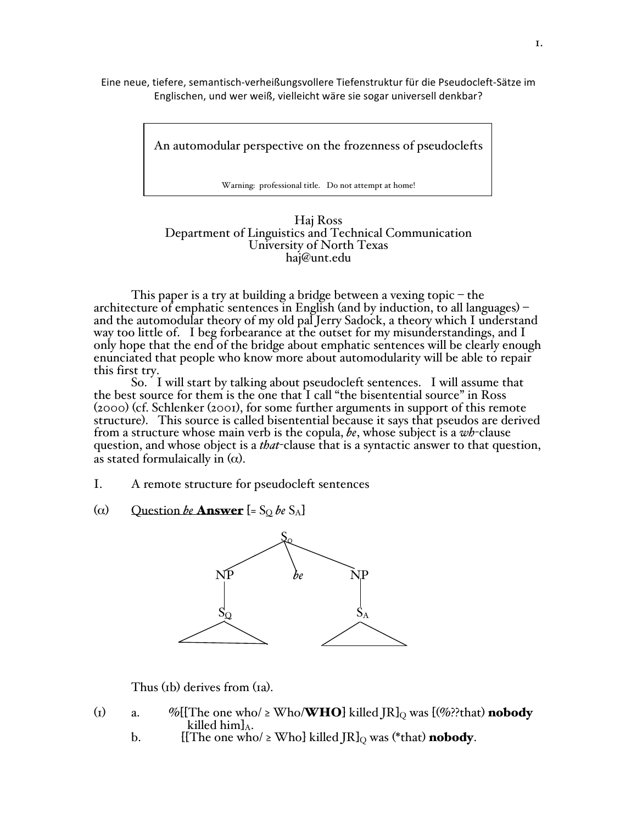Eine neue, tiefere, semantisch‐verheißungsvollere Tiefenstruktur für die Pseudocleft‐Sätze im Englischen, und wer weiß, vielleicht wäre sie sogar universell denkbar?

An automodular perspective on the frozenness of pseudoclefts

Warning: professional title. Do not attempt at home!

# Haj Ross<br>Department of Linguistics and Technical Communication<br>University of North Texas<br>haj@unt.edu

This paper is a try at building a bridge between a vexing topic – the architecture of emphatic sentences in English (and by induction, to all languages) – and the automodular theory of my old pal Jerry Sadock, a theory which I understand way too little of. I beg forbearance at the outset for my misunderstandings, and I only hope that the end of the bridge about emphatic sentences will be clearly enough enunciated that people who know more about automodularity will be able to repair this first try.

So. I will start by talking about pseudocleft sentences. I will assume that the best source for them is the one that I call "the bisentential source" in Ross (2000) (cf. Schlenker (2001), for some further arguments in support of this remote structure). This source is called bisentential because it says that pseudos are derived from a structure whose main verb is the copula, *be*, whose subject is a *wh*-clause question, and whose object is a *that*-clause that is a syntactic answer to that question, as stated formulaically in  $(\alpha)$ .

- I. A remote structure for pseudocleft sentences
- ( $\alpha$ ) Question *be* **Answer**  $\left[=\mathcal{S}_{\mathcal{Q}}$  *be*  $\mathcal{S}_{\mathcal{A}}\right]$



Thus (1b) derives from (1a).

- (1) a. %[{The one who/  $\geq$  Who/**WHO**} killed JR}<sub>Q</sub> was [(%??that) **nobody**<br>killed him}<sub>A</sub>.<br>b. [{The one who/  $\geq$  Who} killed JR}<sub>O</sub> was (\*that) **nobody**.
	- [[The one who/  $\geq$  Who] killed JR]<sub>Q</sub> was (\*that) **nobody**.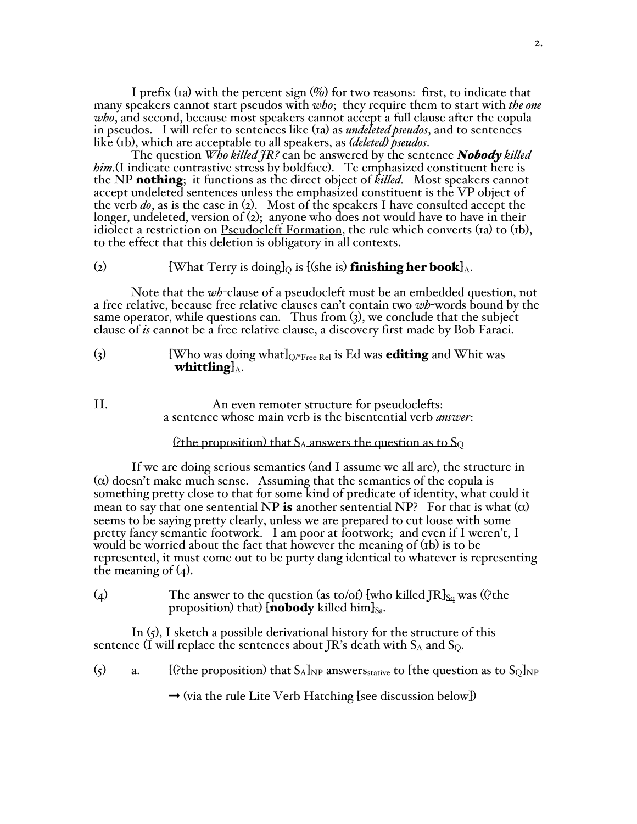I prefix (1a) with the percent sign  $(\%)$  for two reasons: first, to indicate that many speakers cannot start pseudos with *who*; they require them to start with *the one who*, and second, because most speakers cannot accept a full clause after the copula in pseudos. I will refer to sentences like (1a) as *undeleted pseudos*, and to sentences like (1b), which are acceptable to all speakers, as *(deleted) pseudos*.

The question *Who killed JR?* can be answered by the sentence *Nobody killed him.*(I indicate contrastive stress by boldface). Te emphasized constituent here is the NP nothing; it functions as the direct object of *killed.* Most speakers cannot accept undeleted sentences unless the emphasized constituent is the VP object of the verb *do*, as is the case in (2). Most of the speakers I have consulted accept the longer, undeleted, version of (2); anyone who does not would have to have in their idiolect a restriction on Pseudocleft Formation, the rule which converts (1a) to (1b), to the effect that this deletion is obligatory in all contexts.

#### (2) [What Terry is doing  $\log$  is [(she is) **finishing her book**]<sub>A</sub>.

Note that the *wh*-clause of a pseudocleft must be an embedded question, not a free relative, because free relative clauses can't contain two *wh*-words bound by the same operator, while questions can. Thus from (3), we conclude that the subject clause of *is* cannot be a free relative clause, a discovery first made by Bob Faraci.

- (3) [Who was doing what  $\log_{\text{Free Rel}}$  is Ed was **editing** and Whit was whittling  $\lambda$ .
- II. An even remoter structure for pseudoclefts: a sentence whose main verb is the bisentential verb *answer*:

#### (?the proposition) that  $S_A$  answers the question as to  $S_Q$

If we are doing serious semantics (and I assume we all are), the structure in  $(\alpha)$  doesn't make much sense. Assuming that the semantics of the copula is something pretty close to that for some kind of predicate of identity, what could it mean to say that one sentential NP is another sentential NP? For that is what  $(\alpha)$ seems to be saying pretty clearly, unless we are prepared to cut loose with some pretty fancy semantic footwork. I am poor at footwork; and even if I weren't, I would be worried about the fact that however the meaning of (1b) is to be represented, it must come out to be purty dang identical to whatever is representing the meaning of  $(4)$ .

(4) The answer to the question (as to/of) [who killed JR] $_{\text{Sa}}$  was ((?the proposition) that) [**nobody** killed him] $_{Sa}$ .

In  $(5)$ , I sketch a possible derivational history for the structure of this sentence (I will replace the sentences about JR's death with  $S_A$  and  $S_Q$ .

(5) a. [(?the proposition) that  $S_A$ <sub>NP</sub> answers<sub>stative</sub> to [the question as to  $S_O$ <sub>NP</sub>

 $\rightarrow$  (via the rule Lite Verb Hatching [see discussion below])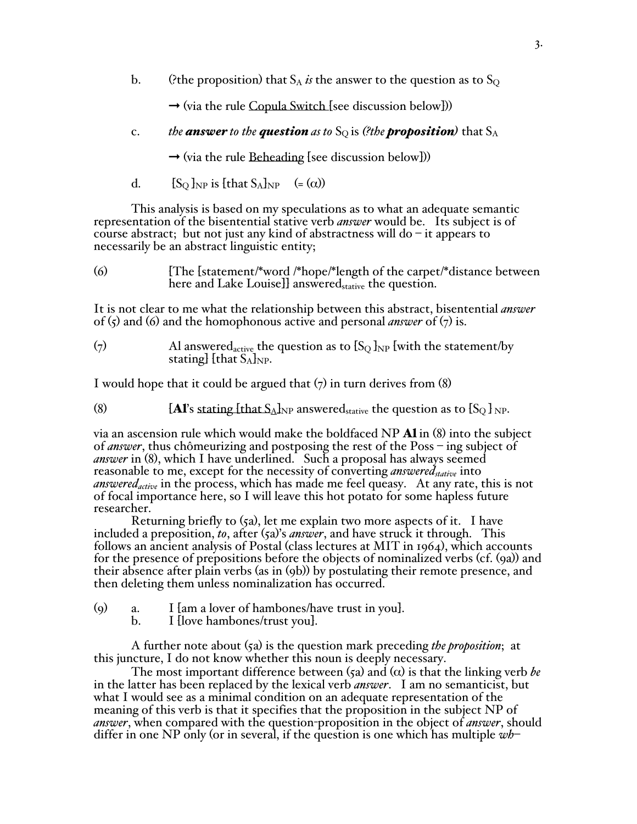b. (?the proposition) that  $S_A$  *is* the answer to the question as to  $S_O$ 

 $\rightarrow$  (via the rule Copula Switch [see discussion below]))

c. *the answer* to the **question** as to  $S_Q$  is (?the **proposition**) that  $S_A$ 

 $\rightarrow$  (via the rule Beheading [see discussion below]))

d.  $[S_O]_{NP}$  is [that  $S_A]_{NP}$  (= ( $\alpha$ ))

This analysis is based on my speculations as to what an adequate semantic representation of the bisentential stative verb *answer* would be. Its subject is of course abstract; but not just any kind of abstractness will do  $-$  it appears to necessarily be an abstract linguistic entity;

| $\left( 6 \right)$ | [The [statement/*word /*hope/*length of the carpet/*distance between |
|--------------------|----------------------------------------------------------------------|
|                    | here and Lake Louise]] answered <sub>stative</sub> the question.     |

It is not clear to me what the relationship between this abstract, bisentential *answer* of  $(\zeta)$  and  $(\zeta)$  and the homophonous active and personal *answer* of  $(\zeta)$  is.

(7) Al answered<sub>active</sub> the question as to  $\{S_Q\}_{NP}$  [with the statement/by stating]  $[$ that  $S_A$ <sub>NP</sub>.

I would hope that it could be argued that  $(7)$  in turn derives from  $(8)$ 

(8)  $[A]$ 's stating [that  $S_A$ ]<sub>NP</sub> answered<sub>stative</sub> the question as to  $[S_Q]$ <sub>NP</sub>.

via an ascension rule which would make the boldfaced NP  $\mathbf{A1}$  in (8) into the subject of *answer*, thus chômeurizing and postposing the rest of the Poss – ing subject of *answer* in (8), which I have underlined. Such a proposal has always seemed reasonable to me, except for the necessity of converting *answered* stative into *answered<sub>active</sub>* in the process, which has made me feel queasy. At any rate, this is not of focal importance here, so I will leave this hot potato for some hapless future researcher.

Returning briefly to  $(s_a)$ , let me explain two more aspects of it. I have included a preposition, *to*, after  $(s_a)'s$  *answer*, and have struck it through. This follows an ancient analysis of Postal (class lectures at MIT in 1964), which accounts for the presence of prepositions before the objects of nominalized verbs (cf. (9a)) and their absence after plain verbs (as in (9b)) by postulating their remote presence, and then deleting them unless nominalization has occurred.

- (9) a. I [am a lover of hambones/have trust in you].
	- b. I [love hambones/trust you].

A further note about (5a) is the question mark preceding *the proposition*; at this juncture, I do not know whether this noun is deeply necessary.

The most important difference between  $\zeta_2$  and  $\alpha$  is that the linking verb *be* in the latter has been replaced by the lexical verb *answer*. I am no semanticist, but what I would see as a minimal condition on an adequate representation of the meaning of this verb is that it specifies that the proposition in the subject NP of *answer*, when compared with the question-proposition in the object of *answer*, should differ in one NP only (or in several, if the question is one which has multiple *wh*–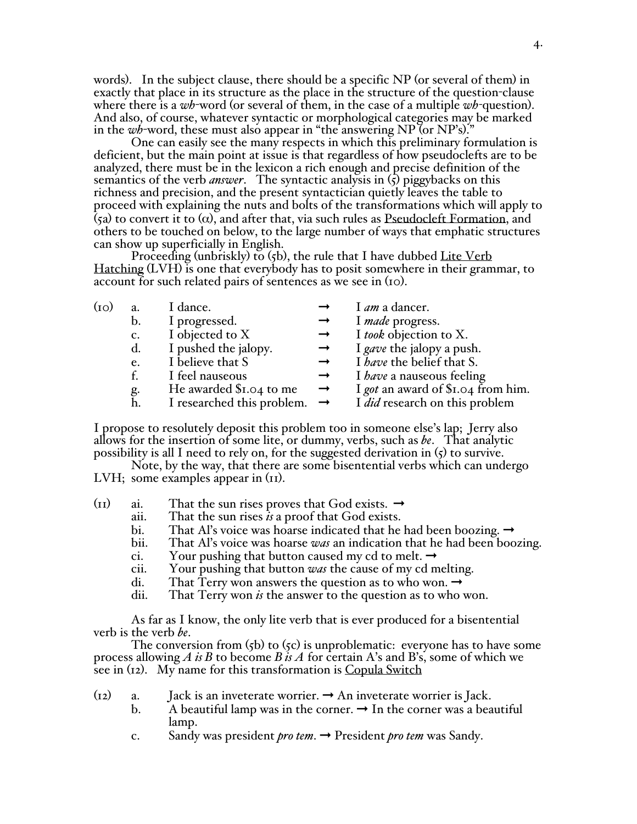words). In the subject clause, there should be a specific NP (or several of them) in exactly that place in its structure as the place in the structure of the question-clause where there is a *wh*-word (or several of them, in the case of a multiple *wh-*question). And also, of course, whatever syntactic or morphological categories may be marked in the *wh*-word, these must also appear in "the answering NP (or NP's)."

One can easily see the many respects in which this preliminary formulation is deficient, but the main point at issue is that regardless of how pseudoclefts are to be analyzed, there must be in the lexicon a rich enough and precise definition of the semantics of the verb *answer*. The syntactic analysis in  $(\zeta)$  piggybacks on this richness and precision, and the present syntactician quietly leaves the table to proceed with explaining the nuts and bolts of the transformations which will apply to (5a) to convert it to ( $\alpha$ ), and after that, via such rules as Pseudocleft Formation, and others to be touched on below, to the large number of ways that emphatic structures can show up superficially in English.

Proceeding (unbriskly) to (5b), the rule that I have dubbed Lite Verb Hatching (LVH) is one that everybody has to posit somewhere in their grammar, to account for such related pairs of sentences as we see in (10).

| $_{\rm (IO)}$ | a.             | I dance.                                 |               | I <i>am</i> a dancer.                 |
|---------------|----------------|------------------------------------------|---------------|---------------------------------------|
|               | $\mathbf{b}$ . | I progressed.                            |               | I made progress.                      |
|               | $\mathbf{c}$ . | I objected to X                          |               | I took objection to X.                |
|               | d.             | I pushed the jalopy.                     |               | I gave the jalopy a push.             |
|               | e.             | I believe that S                         | $\rightarrow$ | I have the belief that S.             |
|               | f.             | I feel nauseous                          | $\rightarrow$ | I <i>have</i> a nauseous feeling      |
|               |                | He awarded \$1.04 to me                  | $\rightarrow$ | I got an award of \$1.04 from him.    |
|               | g.<br>h.       | I researched this problem. $\rightarrow$ |               | I <i>did</i> research on this problem |

I propose to resolutely deposit this problem too in someone else's lap; Jerry also allows for the insertion of some lite, or dummy, verbs, such as *be*. That analytic possibility is all I need to rely on, for the suggeste

Note, by the way, that there are some bisentential verbs which can undergo LVH; some examples appear in  $(11)$ .

- (II) ai. That the sun rises proves that God exists.  $\rightarrow$ 
	- aii. That the sun rises *is* a proof that God exists.
	- bi. That Al's voice was hoarse indicated that he had been boozing.  $\rightarrow$
	- bii. That Al's voice was hoarse *was* an indication that he had been boozing.
	- ci. Your pushing that button caused my cd to melt.  $\rightarrow$
	- cii. Your pushing that button *was* the cause of my cd melting.
	- di. That Terry won answers the question as to who won.  $\rightarrow$  dii. That Terry won *is* the answer to the question as to who
	- That Terry won *is* the answer to the question as to who won.

As far as I know, the only lite verb that is ever produced for a bisentential verb is the verb *be*.

The conversion from  $(5b)$  to  $(5c)$  is unproblematic: everyone has to have some process allowing *A is B* to become *B is A* for certain A's and B's, some of which we see in (12). My name for this transformation is Copula Switch

- (12) a. Jack is an inveterate worrier.  $\rightarrow$  An inveterate worrier is Jack.
	- b. A beautiful lamp was in the corner.  $\rightarrow$  In the corner was a beautiful lamp.
	- c. Sandy was president *pro tem*. ➞ President *pro tem* was Sandy.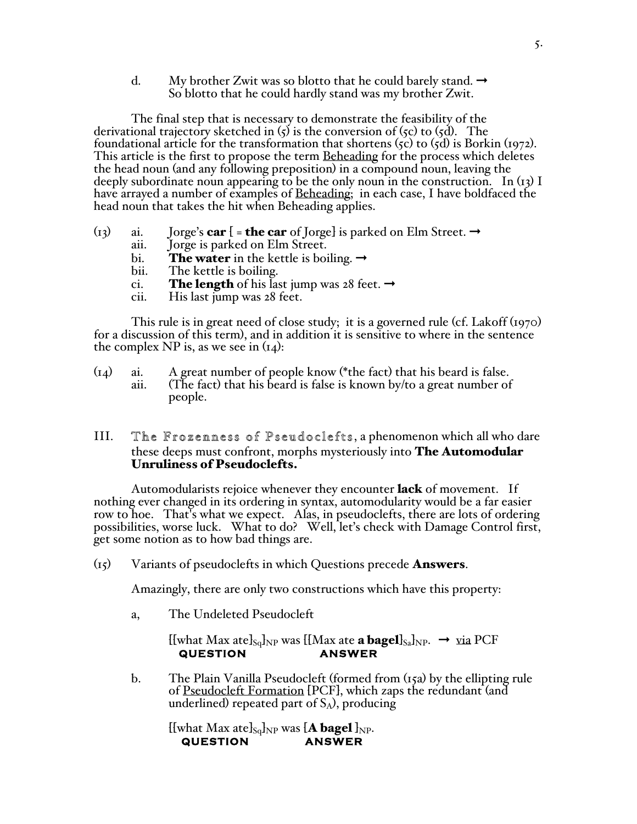d. My brother Zwit was so blotto that he could barely stand.  $\rightarrow$ So blotto that he could hardly stand was my brother Zwit.

The final step that is necessary to demonstrate the feasibility of the derivational trajectory sketched in  $(5)$  is the conversion of  $(5c)$  to  $(5d)$ . The foundational article for the transformation that shortens  $({\zeta c})$  to  $({\zeta d})$  is Borkin (1972). This article is the first to propose the term Beheading for the process which deletes the head noun (and any following preposition) in a compound noun, leaving the deeply subordinate noun appearing to be the only noun in the construction. In  $(i3)$  I have arrayed a number of examples of Beheading; in each case, I have boldfaced the head noun that takes the hit when Beheading applies.

- (13) ai. Jorge's **car**  $[$  = **the car** of Jorge] is parked on Elm Street.  $\rightarrow$  aii. Jorge is parked on Elm Street.
	- Jorge is parked on Elm Street.
	- bi. The water in the kettle is boiling.  $\rightarrow$  bii. The kettle is boiling.
	- The kettle is boiling.
	- ci. **The length** of his last jump was 28 feet.  $\rightarrow$
	- cii. His last jump was 28 feet.

This rule is in great need of close study; it is a governed rule (cf. Lakoff (1970) for a discussion of this term), and in addition it is sensitive to where in the sentence the complex NP is, as we see in  $(I_4)$ :

(14) ai. A great number of people know (\*the fact) that his beard is false. (The fact) that his beard is false is known by/to a great number of people.

# III. The Frozenness of Pseudoclefts, a phenomenon which all who dare these deeps must confront, morphs mysteriously into **The Automodular** Unruliness of Pseudoclefts.

Automodularists rejoice whenever they encounter **lack** of movement. If nothing ever changed in its ordering in syntax, automodularity would be a far easier row to hoe. That's what we expect. Alas, in pseudoclefts, there are lots of ordering possibilities, worse luck. What to do? Well, let's check with Damage Control first, get some notion as to how bad things are.

 $(i5)$  Variants of pseudoclefts in which Questions precede **Answers**.

Amazingly, there are only two constructions which have this property:

a, The Undeleted Pseudocleft

 $[[$ what Max ate $]_{Sq}$ <sub>NP</sub> was  $[[$ Max ate **a bagel** $]_{Sa}$ <sub>NP</sub>.  $\rightarrow$  via PCF **QUESTION QUESTION** 

b.The Plain Vanilla Pseudocleft (formed from (15a) by the ellipting rule of Pseudocleft Formation [PCF], which zaps the redundant (and underlined) repeated part of  $S_A$ ), producing

[[what Max ate]<sub>Sq</sub>]<sub>NP</sub> was [**A bagel**]<sub>NP</sub>.<br>QUESTION ANSWER **QUESTION**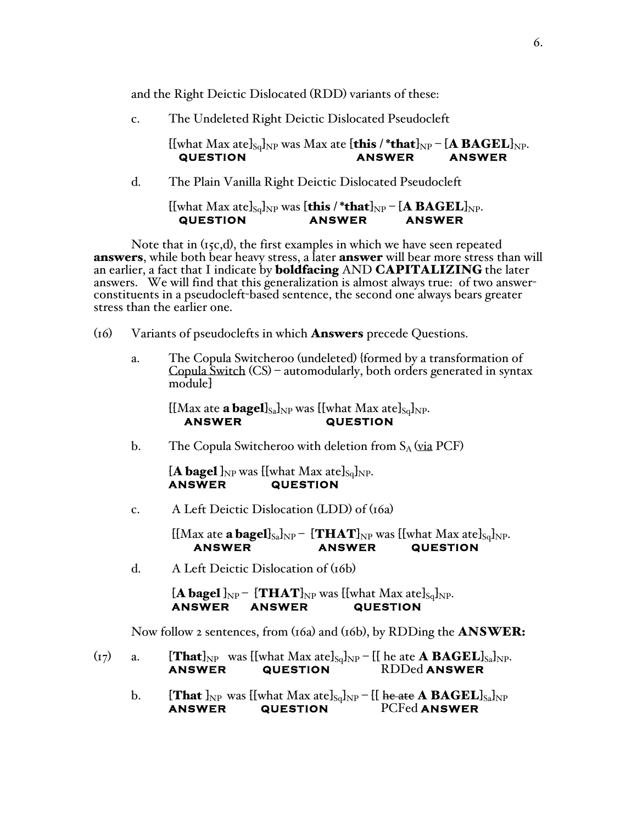and the Right Deictic Dislocated (RDD) variants of these:

c. The Undeleted Right Deictic Dislocated Pseudocleft

[[what Max ate]<sub>Sq</sub>]<sub>NP</sub> was Max ate [this /\*that]<sub>NP</sub> – [A BAGEL]<sub>NP</sub>.<br>ANSWER – ANSWER **QUESTION ANSWER ANSWER** 

d.The Plain Vanilla Right Deictic Dislocated Pseudocleft

## [[what Max ate]<sub>Sq</sub>]<sub>NP</sub> was [**this /\*that**]<sub>NP</sub> – [**A BAGEL**]<sub>NP</sub>.<br>QUESTION ANSWER ANSWER **QUESTION**

Note that in (15c,d), the first examples in which we have seen repeated **answers**, while both bear heavy stress, a later **answer** will bear more stress than will an earlier, a fact that I indicate by **boldfacing** AND **CAPITALIZING** the later answers. We will find that this generalization is almost always true: of two answer- constituents in a pseudocleft-based sentence, the second one always bears greater stress than the earlier one.

- $(16)$ Variants of pseudoclefts in which **Answers** precede Questions.
	- a. The Copula Switcheroo (undeleted) {formed by a transformation of Copula Switch (CS) automodularly, both orders generated in syntax module]

[[Max ate **a bagel**]<sub>Sa</sub>]<sub>NP</sub> was [[what Max ate]<sub>Sq</sub>]<sub>NP</sub>.<br>**ANSWER** QUESTION **AUESTION** 

b. The Copula Switcheroo with deletion from  $S_A$  (via PCF)

 $[A$  bagel  $]_{NP}$  was  $\{$ [what Max ate] $_{Sq}$ ]<sub>NP</sub>.<br>ANSWER QUESTION **AUESTION** 

c. A Left Deictic Dislocation (LDD) of (16a)

 $[[Max \atop \text{ate} a \text{bagel}]_{Sa}]\text{NP} - [\text{THAT}]_{NP}$  was  $[[what \text{Max} \atop \text{ate}]_{Sq}]_{NP}$ .<br>ANSWER QUESTION **AUESTION** 

d. A Left Deictic Dislocation of (16b)

 $[A$  bagel  $]_{NP}$  –  $\{THAT\}_{NP}$  was  $\{[what\ Max\ atel\}_{Sq}$ <sub>NP</sub>.<br>ANSWER ANSWER QUESTION **AUESTION** 

Now follow 2 sentences, from (16a) and (16b), by RDDing the **ANSWER**:

- (17) a.  $\left\{\text{That}\right\}_{NP}$  was  $\left\{\text{What Max ate}\right\}_{Sq}\right|_{NP} \left\{\left\{\text{he ate A BAGEL}\right\}_{Sq}\right\}_{NP}.$ <br>ANSWER QUESTION RDDed ANSWER **ANSWER QUESTION** RDDed **ANSWER** 
	- b.  $\left\{\text{That}\right\}_{NP}$  was  $\left\{\text{[what}\right\}_{NA}$  ate $\left\{\text{Sq}\right\}_{NP} \left\{\text{[he\,ate}\right\}_{AR}$   $\text{BAGEL}\right\}_{NP}$ <br>ANSWER QUESTION PCFed ANSWER **PCFed ANSWER**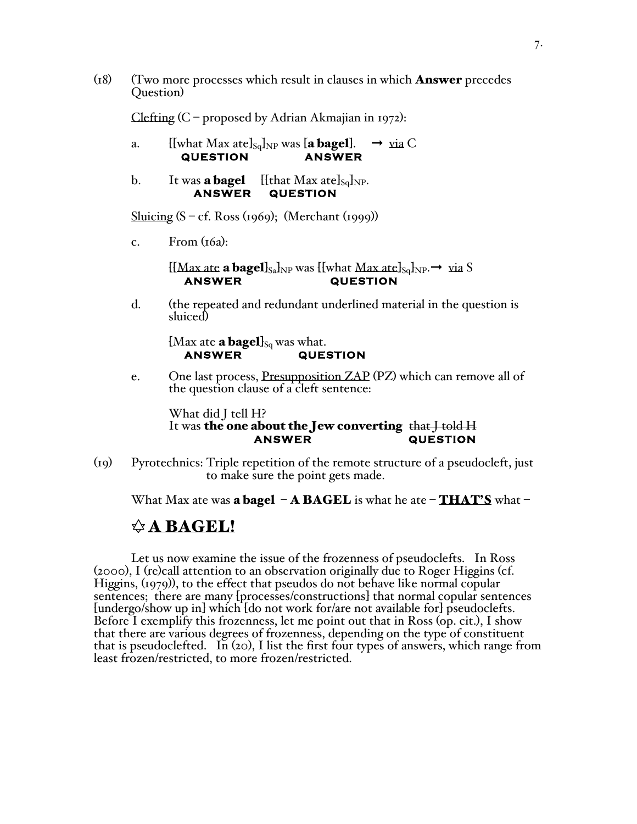$(18)$  (Two more processes which result in clauses in which **Answer** precedes Question)

Clefting  $(C$  – proposed by Adrian Akmajian in 1972):

- a. [[what Max ate] $_{\text{Sq}}$ ]<sub>NP</sub> was [**a bagel**].  $\rightarrow$  yia C **QUESTION ANSWER**
- b. It was **a bagel** [[that Max ate]<sub>Sq</sub>]<sub>NP</sub>. **ANSWER QUESTION**

Sluicing  $(S - cf. Ross (1969); (Merchant (1999))$ 

c. From  $(t6a)$ :

 $[[Max \atop \text{ate a bagel}]_{S_a}]_{NP}$  was  $[[what \t{Max \atop \text{ate}}]_{S_q}]_{NP} \rightarrow via S$ <br>ANSWER QUESTION **AUESTION** 

d. (the repeated and redundant underlined material in the question is sluiced)

[Max ate **a bagel**]<sub>Sq</sub> was what.<br>**ANSWER** QUE! **AUESTION** 

e. One last process, Presupposition ZAP (PZ) which can remove all of the question clause of a cleft sentence:

What did J tell H?

### It was the one about the Jew converting that I told H  **ANSWER QUESTION**

(19) Pyrotechnics: Triple repetition of the remote structure of a pseudocleft, just to make sure the point gets made.

What Max ate was **a bagel – A BAGEL** is what he ate – **THAT'S** what –

# $\triangle$  A BAGEL!

Let us now examine the issue of the frozenness of pseudoclefts. In Ross (2000), I (re)call attention to an observation originally due to Roger Higgins (cf. Higgins, (1979)), to the effect that pseudos do not behave like normal copular sentences; there are many [processes/constructions] that normal copular sentences [undergo/show up in] which [do not work for/are not available for] pseudoclefts. Before I exemplify this frozenness, let me point out that in Ross (op. cit.), I show that there are various degrees of frozenness, depending on the type of constituent that is pseudoclefted. In  $(20)$ , I list the first four types of answers, which range from least frozen/restricted, to more frozen/restricted.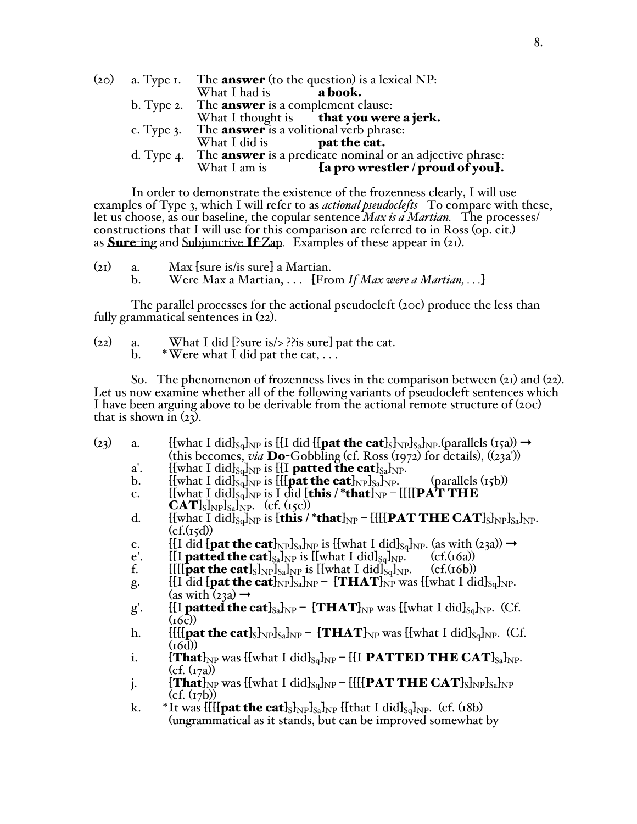|  | (20) a. Type I. The <b>answer</b> (to the question) is a lexical NP:        |
|--|-----------------------------------------------------------------------------|
|  | What I had is $a \text{ book.}$                                             |
|  | b. Type 2. The <b>answer</b> is a complement clause:                        |
|  | What I thought is that you were a jerk.                                     |
|  | c. Type 3. The <b>answer</b> is a volitional verb phrase:                   |
|  | What I did is $\qquad \qquad$ pat the cat.                                  |
|  | d. Type 4. The <b>answer</b> is a predicate nominal or an adjective phrase: |
|  | [a pro wrestler / proud of you].<br>What I am is                            |

In order to demonstrate the existence of the frozenness clearly, I will use examples of Type 3, which I will refer to as *actional pseudoclefts* To compare with these, let us choose, as our baseline, the copular sentence *Max is a Martian.* The processes/ constructions that I will use for this comparison are referred to in Ross (op. cit.) as Sure-ing and Subjunctive If-Zap*.* Examples of these appear in (21).

(21) a. Max [sure is/is sure] a Martian. Were Max a Martian, . . . [From *If Max were a Martian, . . .*]

The parallel processes for the actional pseudocleft (20c) produce the less than fully grammatical sentences in  $(22)$ .

| (22) | What I did [?sure is/ $>$ ??is sure] pat the cat. |
|------|---------------------------------------------------|
|      | *Were what I did pat the cat, $\dots$             |

So. The phenomenon of frozenness lives in the comparison between  $(21)$  and  $(22)$ . Let us now examine whether all of the following variants of pseudocleft sentences which I have been arguing above to be derivable from the actional remote structure of (20c) that is shown in  $(23)$ .

- (23) a. [[what I did]<sub>Sq</sub>]<sub>NP</sub> is [[I did [[**pat the cat**]<sub>S</sub>]<sub>NP</sub>]<sub>Sa</sub>]<sub>NP</sub>.(parallels (15a))  $\rightarrow$ (this becomes, *via* Do-Gobbling (cf. Ross (1972) for details), ((23a'))
	- a'. [[what I did] $_{\text{Sq}}$ ]<sub>NP</sub> is [[I **patted the cat**] $_{\text{SalNP}}$ .<br>b. [[what I did] $_{\text{S}$ <sub>2</sub>]<sub>NP</sub> is [[[**pat the cat**]<sub>NP</sub>]<sub>NP</sub>.
	- $\left[\{\text{what I did}\}_{\text{Sq}}\right]_{\text{NP}}$  is  $\left[\{\{\text{pat the cat}\}_{\text{NP}}\}_{\text{SA}}\right]_{\text{NP}}$ . (parallels (15b))
	- c.  $[[\text{what I did}]_{Sq}]\text{NP}$  is I did  $[\text{this /*that}]_{NP} [[[\text{PAT THE}$  $\text{CAT}$ <sub>S</sub> $\text{Np}\text{S}_a$ <sub>NP</sub>. (cf. (15c))
	- d. [[what I did]<sub>Sq</sub>]<sub>NP</sub> is [this /\*that]<sub>NP</sub> [[[[PAT THE CAT]<sub>S</sub>]<sub>NP</sub>]<sub>Sa</sub>]<sub>NP</sub>.  $(cf.(15d))$
	- e. [[I did [**pat the cat**]<sub>NP</sub>]<sub>Sa</sub>]<sub>NP</sub> is [[what I did]<sub>Sq</sub>]<sub>NP</sub>. (as with (23a))  $\rightarrow$  e'. [[I **patted the cat**]<sub>Sa</sub>]<sub>NP</sub> is [[what I did]<sub>Sq</sub>]<sub>NP</sub>. (cf.(16a))
	- e'. [I **patted the cat**]<sub>Sa</sub>]<sub>NP</sub> is [[what I did]<sub>Sq</sub>]<sub>NP</sub>. (cf.(16a))<br>f. [[[[**pat the cat**]<sub>S</sub>]<sub>NP</sub>]<sub>Sa</sub>]<sub>NP</sub> is [[what I did]<sub>Sq</sub>]<sub>NP</sub>. (cf.(16b))
	- $\left[\left[\left[\left[\text{pat the cat}\right]_{S\text{N}}\right]_{N\text{P}}\right]_{S\text{a}}\right]_{N\text{P}}\right]_{S\text{q}}\right]_{N\text{P}}$ .
	- g. [[I did [**pat the cat**]<sub>NP</sub>]<sub>Sa</sub>]<sub>NP</sub> [**THAT**]<sub>NP</sub> was [[what I did]<sub>Sq</sub>]<sub>NP</sub>.  $(as with (23a) \rightarrow$
	- g'. [[I **patted the cat**]<sub>Sa</sub>]<sub>NP</sub>  $\left[\text{THAT}\right]_{NP}$  was [[what I did]<sub>Sq</sub>]<sub>NP</sub>. (Cf.  $(16c)$
	- h. [[[[pat the cat]<sub>S</sub>]<sub>NP</sub>]<sub>Sa</sub>]<sub>NP</sub> [**THAT**]<sub>NP</sub> was [[what I did]<sub>Sq</sub>]<sub>NP</sub>. (Cf.  $(16d)$
	- i.  $[\text{That}]_{NP}$  was  $[[\text{what I did}]_{Sq}]_{NP} [[\text{I } \text{PATHE } \text{CAT}]_{Sq}]_{NP}.$  $(cf. (17a))$
	- j.  $[\mathbf{That}]_{NP}$  was  $[[\text{what I did}]_{Sq}]_{NP} [[[\mathbf{PATH E CAT]_{S}]_{NP}]_{Sa}]_{NP}$  $(cf. (r7b))$
	- k. \*It was  $[[\text{[pat the cat]}_{S}]\text{Np}}]_{S_a}$   $[\text{[that I did]}_{S_q}]_{NP}$ . (cf. (18b) (ungrammatical as it stands, but can be improved somewhat by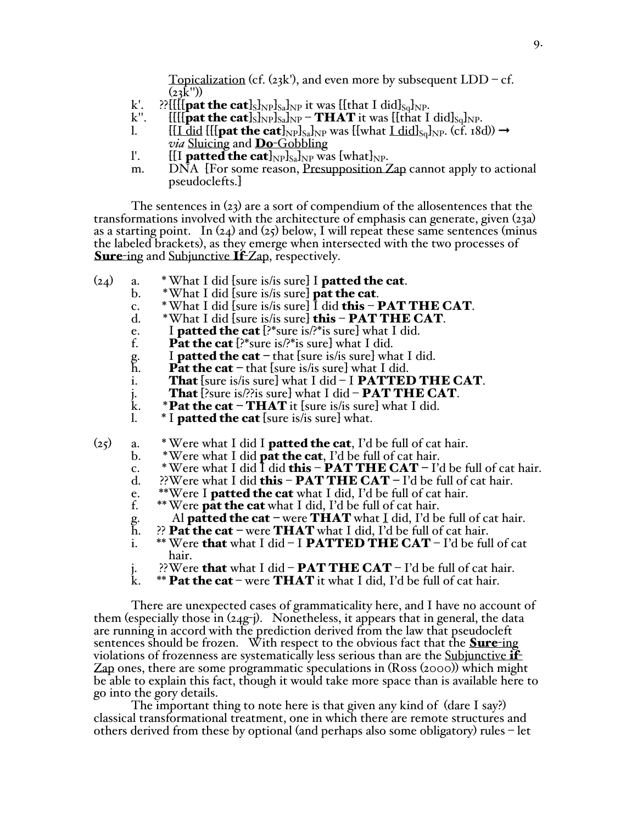Topicalization (cf.  $(23k')$ , and even more by subsequent  $LDD - cf$ .  $(23\text{K}^{\prime\prime})$ 

- k'. ??[[[[**pat the cat**]<sub>S</sub>]<sub>NP</sub>]<sub>Sa</sub>]<sub>NP</sub> it was [[that I did]<sub>Sq</sub>]<sub>NP</sub>.<br>k''. [[[[**pat the cat**]<sub>S</sub>]<sub>NP</sub> **THAT** it was [[that I
- k''. [[[[**][eat the cat**]<sub>S</sub> $_{\text{NPP}}$ S<sub>a</sub>]<sub>NP</sub> **THAT** it was [[that I did]<sub>Sq</sub><sub>1</sub><sub>NP</sub>. [1]<br>1. [[[[[[[[[[[[[]]][[[]]][[]][[][[]] [[[]]
- $[[L \text{ did } [[\text{pat the cat}]_{NP}]_{SA}]_{NP}$  was  $[[\text{what }L \text{ did}]_{Sq}]_{NP}$ . (cf. 18d))  $\rightarrow$ *via* Sluicing and Do-Gobbling
- l'. [[I **patted the cat**] $_{\text{NP}}$ ]<sub>Sa</sub>]<sub>NP</sub> was [what]<sub>NP</sub>.
- m. DNA [For some reason, Presupposition Zap cannot apply to actional pseudoclefts.]

The sentences in  $(23)$  are a sort of compendium of the allosentences that the transformations involved with the architecture of emphasis can generate, given (23a) as a starting point. In  $(24)$  and  $(25)$  below, I will repeat these same sentences (minus the labeled brackets), as they emerge when intersected with the two processes of **Sure-ing and Subjunctive If-Zap, respectively.** 

- $(24)$  a. \*What I did [sure is/is sure] I **patted the cat**.
	- b.  $*$ What I did [sure is/is sure] **pat the cat**.
	- c.  $*$  What I did [sure is/is sure] I did **this PAT THE CAT**.<br>d.  $*$  What I did [sure is/is sure] **this PAT THE CAT**.
	- \*What I did [sure is/is sure] this PAT THE CAT.
	- e. I **patted the cat**  $[?$ \*sure is/?\*is sure] what I did.<br>f. **Pat the cat**  $[?$ \*sure is/?\*is sure] what I did.
	- **Pat the cat** [?\*sure is/?\*is sure] what I did.
	- g. I **patted the cat** that [sure is/is sure] what I did.<br>h. **Pat the cat** that [sure is/is sure] what I did.
	- h. **Pat the cat** that [sure is/is sure] what I did.<br>i. **That** [sure is/is sure] what I did I **PATTE**
	- i. **That** [sure is/is sure] what I did I **PATTED THE CAT**.<br>j. **That** [?sure is/??is sure] what I did **PAT THE CAT**.<br>k. \***Pat the cat THAT** it [sure is/is sure] what I did.
	- **That** [?sure is/??is sure] what I did **PAT THE CAT.**
	- k. \***Pat the cat THAT** it [sure is/is sure] what I did.<br>1. \* I **patted the cat** [sure is/is sure] what.
		- $*$  I **patted the cat** [sure is/is sure] what.

 $(25)$  a. \*Were what I did I **patted the cat**, I'd be full of cat hair.

- b.  $*$ Were what I did **pat the cat**, I'd be full of cat hair.
- c. \* Were what I did I did **this PAT THE CAT –** I'd be full of cat hair.<br>d.  $\therefore$  ??Were what I did **this PAT THE CAT –** I'd be full of cat hair.
- ??Were what I did **this PAT THE CAT –** I'd be full of cat hair.
- e.  $*$ Were I **patted the cat** what I did, I'd be full of cat hair.<br>f.  $*$  Were **pat the cat** what I did. I'd be full of cat hair.
- \*\*Were  $\vec{p}$  at the cat what I did, I'd be full of cat hair.
- 
- g. Al **patted the cat** were **THAT** what I did, I'd be full of cat hair.<br>h.  $\therefore$  **Pat the cat** were **THAT** what I did, I'd be full of cat hair. h.  $\mathbb{R}$ ? **Pat the cat** – were **THAT** what I did, I'd be full of cat hair.<br>i.  $\ast \mathbb{W}$ ere **that** what I did – I **PATTED THE CAT** – I'd be ful
- \*\* Were that what I did I PATTED THE CAT I'd be full of cat hair.
- j.  $\therefore$  ??Were **that** what I did **PAT THE CAT** I'd be full of cat hair.<br>k. \*\* **Pat the cat** were **THAT** it what I did. I'd be full of cat hair.
- \*\* Pat the cat were THAT it what I did, I'd be full of cat hair.

There are unexpected cases of grammaticality here, and I have no account of them (especially those in  $(24g-i)$ ). Nonetheless, it appears that in general, the data are running in accord with the prediction derived from the law that pseudocleft sentences should be frozen. With respect to the obvious fact that the **Sure**-ing violations of frozenness are systematically less serious than are the Subjunctive  $\mathbf{if}$ Zap ones, there are some programmatic speculations in (Ross (2000)) which might be able to explain this fact, though it would take more space than is available here to go into the gory details.

The important thing to note here is that given any kind of (dare I say?) classical transformational treatment, one in which there are remote structures and others derived from these by optional (and perhaps also some obligatory) rules – let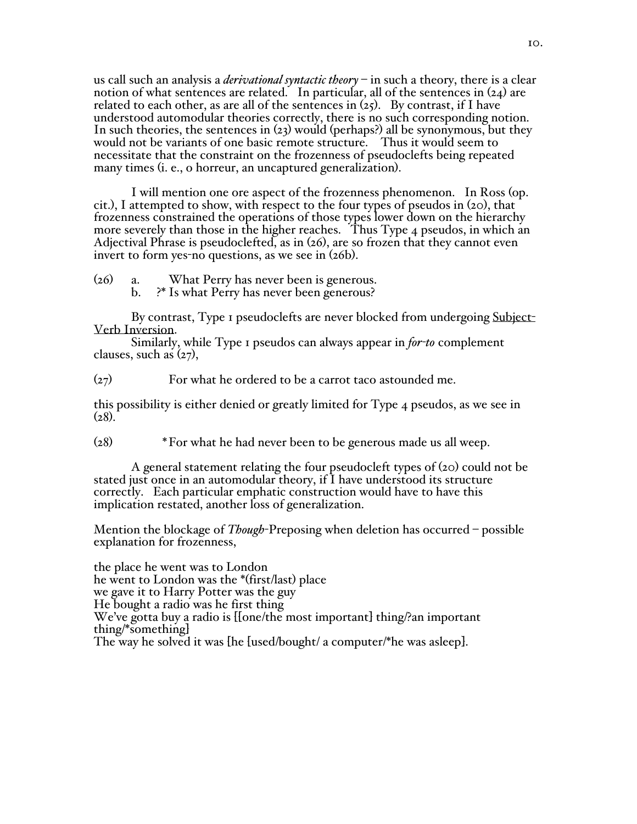us call such an analysis a *derivational syntactic theory* – in such a theory, there is a clear notion of what sentences are related. In particular, all of the sentences in (24) are related to each other, as are all of the sentences in  $(z_5)$ . By contrast, if I have understood automodular theories correctly, there is no such corresponding notion. In such theories, the sentences in (23) would (perhaps?) all be synonymous, but they would not be variants of one basic remote structure. Thus it would seem to necessitate that the constraint on the frozenness of pseudoclefts being repeated many times (i. e., o horreur, an uncaptured generalization).

I will mention one ore aspect of the frozenness phenomenon. In Ross (op. cit.), I attempted to show, with respect to the four types of pseudos in (20), that frozenness constrained the operations of those types lower down on the hierarchy more severely than those in the higher reaches. Thus Type 4 pseudos, in which an Adjectival Phrase is pseudoclefted, as in (26), are so frozen that they cannot even invert to form yes-no questions, as we see in (26b).

(26) a. What Perry has never been is generous. b. ?\* Is what Perry has never been generous?

By contrast, Type 1 pseudoclefts are never blocked from undergoing Subject-Verb Inversion.

Similarly, while Type 1 pseudos can always appear in *for-to* complement clauses, such as  $(27)$ ,

(27) For what he ordered to be a carrot taco astounded me.

this possibility is either denied or greatly limited for Type 4 pseudos, as we see in  $(28).$ 

(28) \*For what he had never been to be generous made us all weep.

A general statement relating the four pseudocleft types of (20) could not be stated just once in an automodular theory, if I have understood its structure correctly. Each particular emphatic construction would have to have this implication restated, another loss of generalization.

Mention the blockage of *Though*-Preposing when deletion has occurred – possible explanation for frozenness,

the place he went was to London he went to London was the \*(first/last) place we gave it to Harry Potter was the guy He bought a radio was he first thing We've gotta buy a radio is [[one/the most important] thing/?an important thing/\*something] The way he solved it was [he [used/bought/ a computer/\*he was asleep].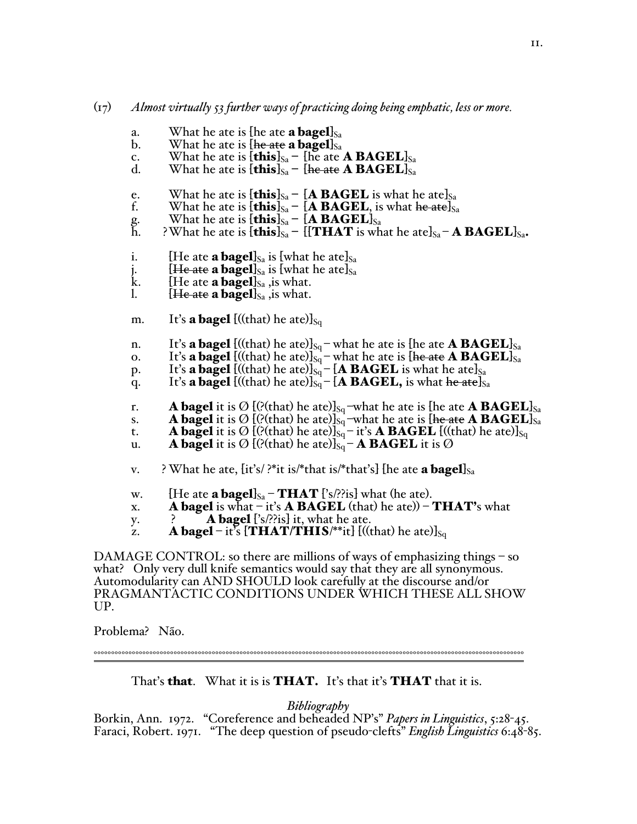#### (17) *Almost virtually 53 further ways of practicing doing being emphatic, less or more.*

- a. What he ate is [he ate **a bagel**] $S_a$ <br>b. What he ate is [**he ate a bagel**] $S_a$
- What he ate is  $\{$ he ate a bagel] $_{Sa}$
- c. What he ate is  $\textbf{[this]}_{\text{Sa}}$  [he ate **A BAGEL**]<sub>Sa</sub>
- d. What he ate is  $\left[\textbf{this}\right]_{Sa}$   $\left[\textbf{he\,ate\,}\textbf{A}\textbf{BAGEL}\right]_{Sa}$
- e. What he ate is  $\textbf{[this]}_{S_a}$   $\textbf{[A BAGEL]}$  is what he ate  $S_a$ <br>f. What he ate is  $\textbf{[this]}_{S_a}$   $\textbf{[A BAGEL]}$  is what he ate  $S_a$ 
	- What he ate is  $[\textbf{this}]_{Sa}$   $[\textbf{A}\ \textbf{BAGEL}]$  is what he atelsa
- g. What he ate is  $\left[\textbf{this}\right]_{Sa} \left[\textbf{A} \textbf{BAGEL}\right]_{Sa}$ <br>h. ?What he ate is  $\left[\textbf{this}\right]_{Sa} \left[\left[\textbf{THAT}\right]_{SA}\right]$
- ?What he ate is  $\textbf{[this]}_{Sa}$   $\textbf{[[THAT]}$  is what he ate]<sub>Sa</sub> **A BAGEL**]<sub>Sa</sub>.
- 
- i. [He ate **a bagel**]<sub>Sa</sub> is [what he ate]<sub>Sa</sub><br>j. [He ate **a bagel**]<sub>Sa</sub> is [what he ate]<sub>Sa</sub> k. [He ate **a bagel**]<sub>Sa</sub> , is what. {He ate **a bage1**} sa is [what he ate] sa
- k.  $\left\{\text{He are a bagel}\right\}_{s_a}$ , is what.<br>1.  $\left\{\text{He are a bagel}\right\}_{s_a}$  is what.
- $1\leftarrow$  ate a bagel]<sub>Sa</sub>, is what.

m. It's **a bagel** [((that) he ate)]<sub>Sq</sub>

- n. It's **a bagel**  $[(\text{that})$  he ate)]<sub>Sq</sub>-what he ate is [he ate **A BAGEL**]<sub>Sa</sub>
- o. It's a bagel  $[((\text{that})$  he ate)] $s_q$  what he ate is [he ate A BAGEL] $s_a$
- p. It's **a bagel** [((that) he ate)]<sub>Sq</sub> [**A BAGEL** is what he ate]<sub>Sa</sub>
- q. It's **a bagel** [((that) he ate)]<sub>Sq</sub> [**A BAGEL,** is what <del>he ate</del>]<sub>Sa</sub>
- r. **A bagel** it is  $\mathcal{O}$  [(?(that) he ate)]<sub>Sq</sub>-what he ate is [he ate **A BAGEL**]<sub>Sa</sub>
- s. A **bagel** it is Ø [(?(that) he ate)]<sub>Sq</sub>-what he ate is [he ate **A BAGEL**]<sub>Sa</sub><br>t. A **bagel** it is Ø [(?(that) he ate)]<sub>Sq</sub>-it's **A BAGEL** [((that) he ate)]<sub>Sq</sub>
- t. A bagel it is Ø [(?(that) he ate)]<sub>Sq</sub> it's **A BAGEL** [((that) he ate)]<sub>Sq</sub>
- u. A bagel it is  $\boldsymbol{\mathcal{O}}$  [(?(that) he ate)] $_{\mathrm{Sq}}$  A BAGEL it is  $\boldsymbol{\mathcal{O}}$
- v. ? What he ate,  $\{it's\}$  ?\*it is/\*that is/\*that's]  $\{he$  ate **a bagel** $\}_{Sa}$
- w. [He ate **a bagel**] $_{Sa}$  **THAT** ['s/??is] what (he ate).
- x. **A bagel** is what  $-$  it's **A BAGEL** (that) he ate))  $-$  **THAT's** what
- y.  $\cdot$  **A bagel**  $\cdot$ 's/??is it, what he ate.
- z. **A bagel** it's  $\left[$ **THAT/THIS**/\*\*it]  $\left[$  (((that) he ate)]<sub>Sq</sub>

DAMAGE CONTROL: so there are millions of ways of emphasizing things – so what? Only very dull knife semantics would say that they are all synonymous. Automodularity can AND SHOULD look carefully at the discourse and/or PRAGMANTACTIC CONDITIONS UNDER WHICH THESE ALL SHOW UP.

Problema? Não.

That's **that.** What it is is **THAT.** It's that it's **THAT** that it is.

°°°°°°°°°°°°°°°°°°°°°°°°°°°°°°°°°°°°°°°°°°°°°°°°°°°°°°°°°°°°°°°°°°°°°°°°°°°°°°°°°°°°°°°°°°°°°°°°°°°°°°°°°°°°°°°°°°°°°°°°°°°°

*Bibliography*<br>*Borkin, Ann. 1972.* "Coreference and beheaded NP's" *Papers in Linguistics*, 5:28-45. Faraci, Robert. 1971. "The deep question of pseudo-clefts" *English Linguistics* 6:48-85.